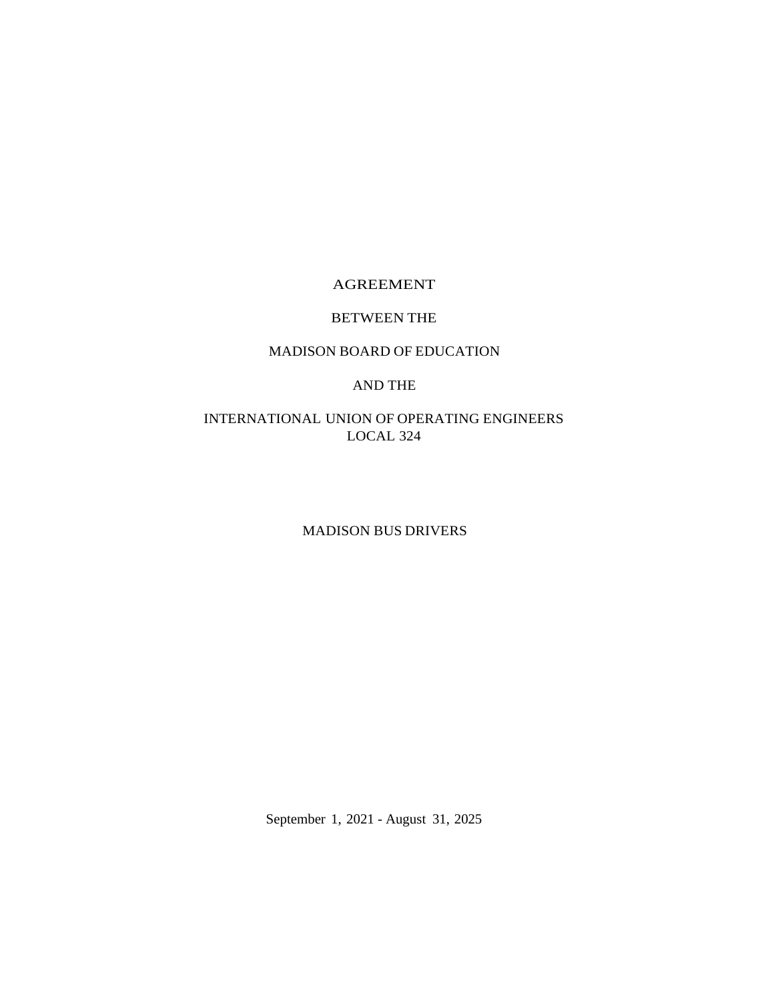# AGREEMENT

# BETWEEN THE

# MADISON BOARD OF EDUCATION

# AND THE

# INTERNATIONAL UNION OF OPERATING ENGINEERS LOCAL 324

# MADISON BUS DRIVERS

September 1, 2021 - August 31, 2025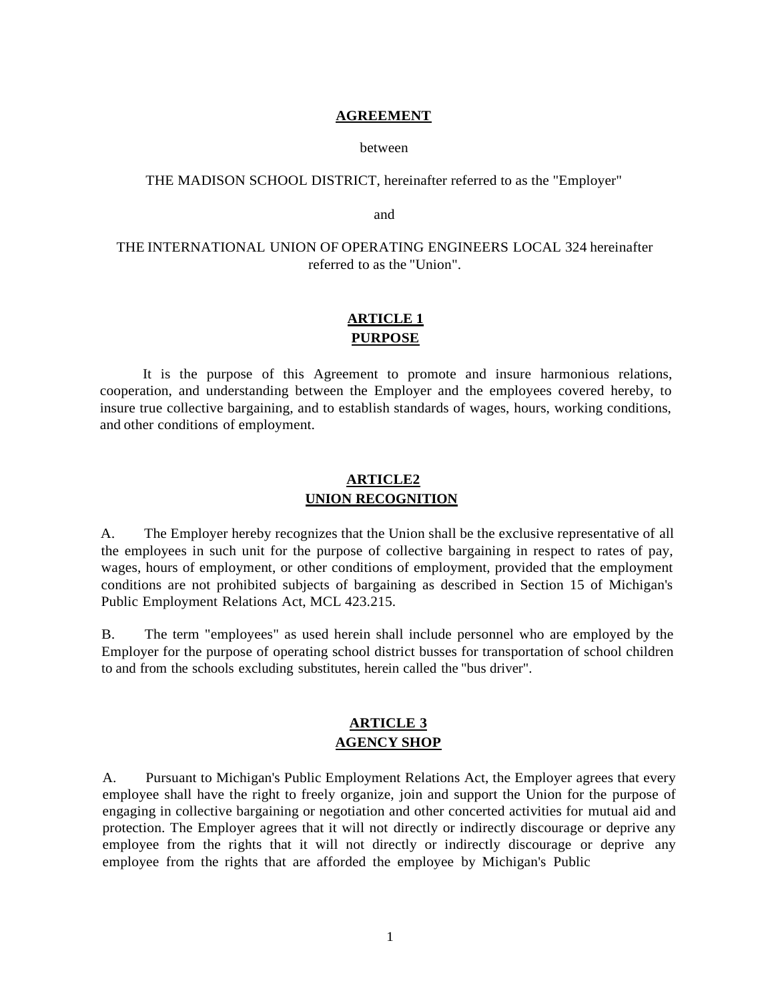#### **AGREEMENT**

#### between

## THE MADISON SCHOOL DISTRICT, hereinafter referred to as the "Employer"

and

# THE INTERNATIONAL UNION OF OPERATING ENGINEERS LOCAL 324 hereinafter referred to as the "Union".

# **ARTICLE 1 PURPOSE**

It is the purpose of this Agreement to promote and insure harmonious relations, cooperation, and understanding between the Employer and the employees covered hereby, to insure true collective bargaining, and to establish standards of wages, hours, working conditions, and other conditions of employment.

# **ARTICLE2 UNION RECOGNITION**

A. The Employer hereby recognizes that the Union shall be the exclusive representative of all the employees in such unit for the purpose of collective bargaining in respect to rates of pay, wages, hours of employment, or other conditions of employment, provided that the employment conditions are not prohibited subjects of bargaining as described in Section 15 of Michigan's Public Employment Relations Act, MCL 423.215.

B. The term "employees" as used herein shall include personnel who are employed by the Employer for the purpose of operating school district busses for transportation of school children to and from the schools excluding substitutes, herein called the "bus driver".

# **ARTICLE 3 AGENCY SHOP**

A. Pursuant to Michigan's Public Employment Relations Act, the Employer agrees that every employee shall have the right to freely organize, join and support the Union for the purpose of engaging in collective bargaining or negotiation and other concerted activities for mutual aid and protection. The Employer agrees that it will not directly or indirectly discourage or deprive any employee from the rights that it will not directly or indirectly discourage or deprive any employee from the rights that are afforded the employee by Michigan's Public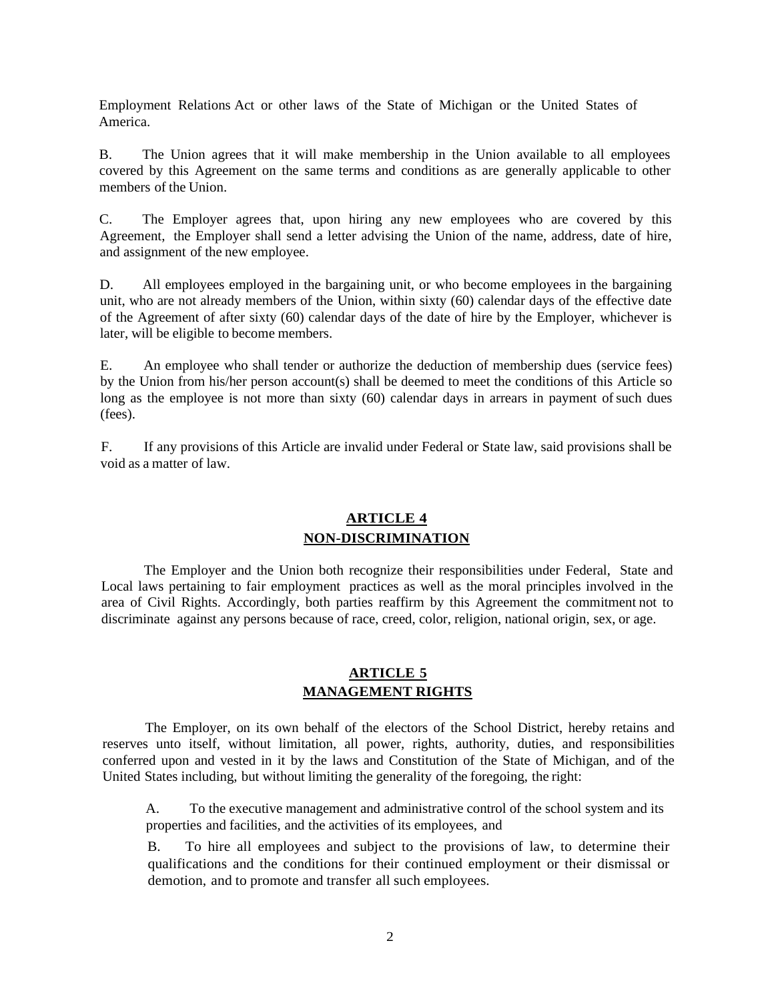Employment Relations Act or other laws of the State of Michigan or the United States of America.

B. The Union agrees that it will make membership in the Union available to all employees covered by this Agreement on the same terms and conditions as are generally applicable to other members of the Union.

C. The Employer agrees that, upon hiring any new employees who are covered by this Agreement, the Employer shall send a letter advising the Union of the name, address, date of hire, and assignment of the new employee.

D. All employees employed in the bargaining unit, or who become employees in the bargaining unit, who are not already members of the Union, within sixty (60) calendar days of the effective date of the Agreement of after sixty (60) calendar days of the date of hire by the Employer, whichever is later, will be eligible to become members.

E. An employee who shall tender or authorize the deduction of membership dues (service fees) by the Union from his/her person account(s) shall be deemed to meet the conditions of this Article so long as the employee is not more than sixty (60) calendar days in arrears in payment of such dues (fees).

F. If any provisions of this Article are invalid under Federal or State law, said provisions shall be void as a matter of law.

# **ARTICLE 4 NON-DISCRIMINATION**

The Employer and the Union both recognize their responsibilities under Federal, State and Local laws pertaining to fair employment practices as well as the moral principles involved in the area of Civil Rights. Accordingly, both parties reaffirm by this Agreement the commitment not to discriminate against any persons because of race, creed, color, religion, national origin, sex, or age.

# **ARTICLE 5 MANAGEMENT RIGHTS**

The Employer, on its own behalf of the electors of the School District, hereby retains and reserves unto itself, without limitation, all power, rights, authority, duties, and responsibilities conferred upon and vested in it by the laws and Constitution of the State of Michigan, and of the United States including, but without limiting the generality of the foregoing, the right:

A. To the executive management and administrative control of the school system and its properties and facilities, and the activities of its employees, and

B. To hire all employees and subject to the provisions of law, to determine their qualifications and the conditions for their continued employment or their dismissal or demotion, and to promote and transfer all such employees.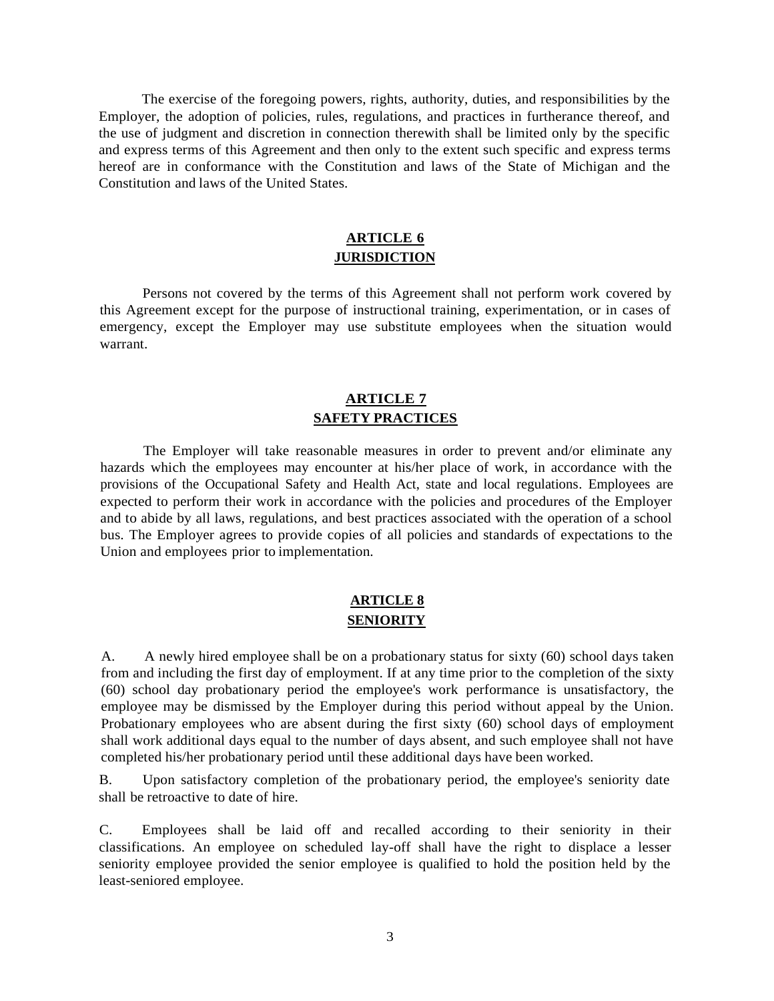The exercise of the foregoing powers, rights, authority, duties, and responsibilities by the Employer, the adoption of policies, rules, regulations, and practices in furtherance thereof, and the use of judgment and discretion in connection therewith shall be limited only by the specific and express terms of this Agreement and then only to the extent such specific and express terms hereof are in conformance with the Constitution and laws of the State of Michigan and the Constitution and laws of the United States.

# **ARTICLE 6 JURISDICTION**

Persons not covered by the terms of this Agreement shall not perform work covered by this Agreement except for the purpose of instructional training, experimentation, or in cases of emergency, except the Employer may use substitute employees when the situation would warrant.

# **ARTICLE 7 SAFETY PRACTICES**

The Employer will take reasonable measures in order to prevent and/or eliminate any hazards which the employees may encounter at his/her place of work, in accordance with the provisions of the Occupational Safety and Health Act, state and local regulations. Employees are expected to perform their work in accordance with the policies and procedures of the Employer and to abide by all laws, regulations, and best practices associated with the operation of a school bus. The Employer agrees to provide copies of all policies and standards of expectations to the Union and employees prior to implementation.

# **ARTICLE 8 SENIORITY**

A. A newly hired employee shall be on a probationary status for sixty (60) school days taken from and including the first day of employment. If at any time prior to the completion of the sixty (60) school day probationary period the employee's work performance is unsatisfactory, the employee may be dismissed by the Employer during this period without appeal by the Union. Probationary employees who are absent during the first sixty (60) school days of employment shall work additional days equal to the number of days absent, and such employee shall not have completed his/her probationary period until these additional days have been worked.

B. Upon satisfactory completion of the probationary period, the employee's seniority date shall be retroactive to date of hire.

C. Employees shall be laid off and recalled according to their seniority in their classifications. An employee on scheduled lay-off shall have the right to displace a lesser seniority employee provided the senior employee is qualified to hold the position held by the least-seniored employee.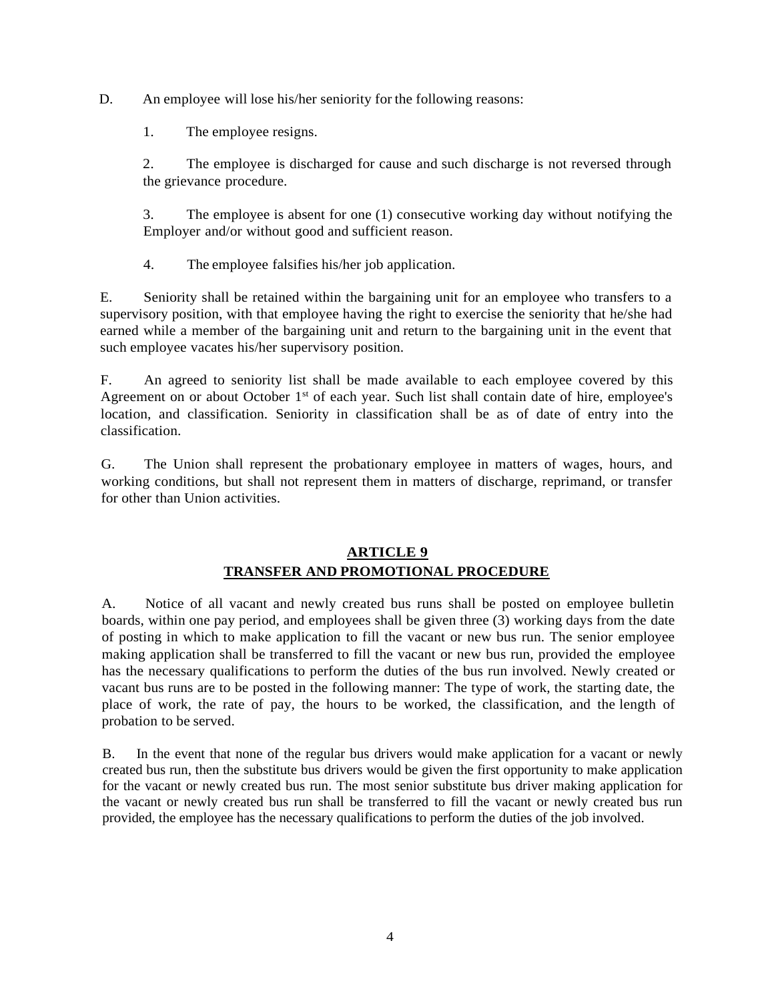D. An employee will lose his/her seniority for the following reasons:

1. The employee resigns.

2. The employee is discharged for cause and such discharge is not reversed through the grievance procedure.

3. The employee is absent for one (1) consecutive working day without notifying the Employer and/or without good and sufficient reason.

4. The employee falsifies his/her job application.

E. Seniority shall be retained within the bargaining unit for an employee who transfers to a supervisory position, with that employee having the right to exercise the seniority that he/she had earned while a member of the bargaining unit and return to the bargaining unit in the event that such employee vacates his/her supervisory position.

F. An agreed to seniority list shall be made available to each employee covered by this Agreement on or about October 1<sup>st</sup> of each year. Such list shall contain date of hire, employee's location, and classification. Seniority in classification shall be as of date of entry into the classification.

G. The Union shall represent the probationary employee in matters of wages, hours, and working conditions, but shall not represent them in matters of discharge, reprimand, or transfer for other than Union activities.

# **ARTICLE 9 TRANSFER AND PROMOTIONAL PROCEDURE**

A. Notice of all vacant and newly created bus runs shall be posted on employee bulletin boards, within one pay period, and employees shall be given three (3) working days from the date of posting in which to make application to fill the vacant or new bus run. The senior employee making application shall be transferred to fill the vacant or new bus run, provided the employee has the necessary qualifications to perform the duties of the bus run involved. Newly created or vacant bus runs are to be posted in the following manner: The type of work, the starting date, the place of work, the rate of pay, the hours to be worked, the classification, and the length of probation to be served.

B. In the event that none of the regular bus drivers would make application for a vacant or newly created bus run, then the substitute bus drivers would be given the first opportunity to make application for the vacant or newly created bus run. The most senior substitute bus driver making application for the vacant or newly created bus run shall be transferred to fill the vacant or newly created bus run provided, the employee has the necessary qualifications to perform the duties of the job involved.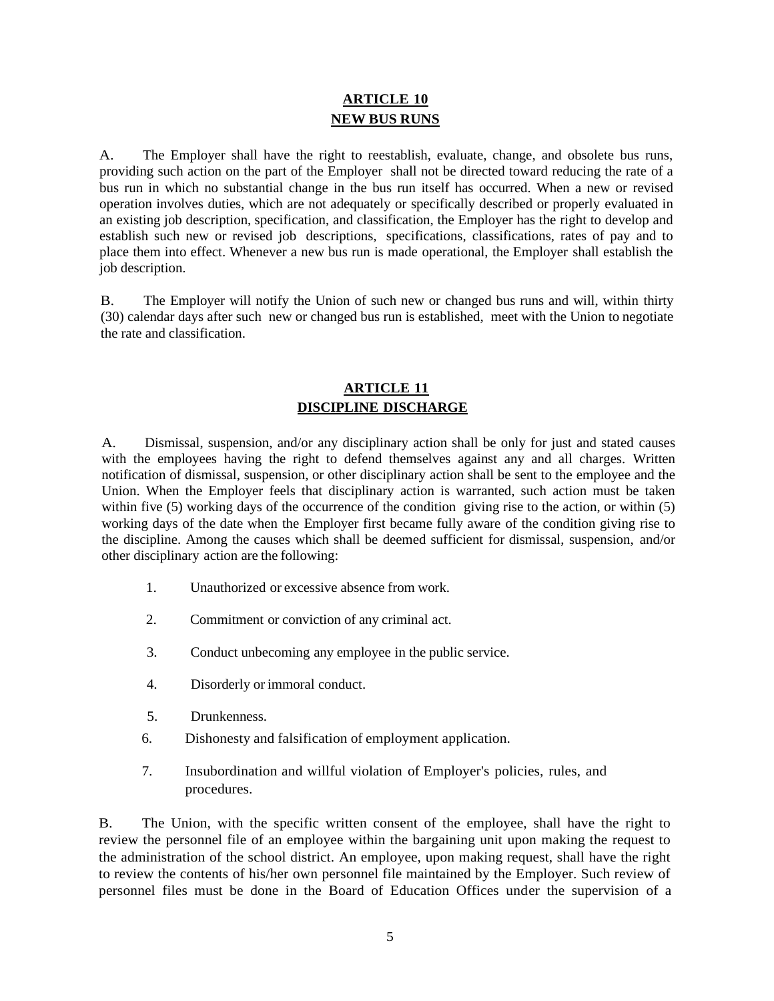# **ARTICLE 10 NEW BUS RUNS**

A. The Employer shall have the right to reestablish, evaluate, change, and obsolete bus runs, providing such action on the part of the Employer shall not be directed toward reducing the rate of a bus run in which no substantial change in the bus run itself has occurred. When a new or revised operation involves duties, which are not adequately or specifically described or properly evaluated in an existing job description, specification, and classification, the Employer has the right to develop and establish such new or revised job descriptions, specifications, classifications, rates of pay and to place them into effect. Whenever a new bus run is made operational, the Employer shall establish the job description.

B. The Employer will notify the Union of such new or changed bus runs and will, within thirty (30) calendar days after such new or changed bus run is established, meet with the Union to negotiate the rate and classification.

# **ARTICLE 11 DISCIPLINE DISCHARGE**

A. Dismissal, suspension, and/or any disciplinary action shall be only for just and stated causes with the employees having the right to defend themselves against any and all charges. Written notification of dismissal, suspension, or other disciplinary action shall be sent to the employee and the Union. When the Employer feels that disciplinary action is warranted, such action must be taken within five (5) working days of the occurrence of the condition giving rise to the action, or within (5) working days of the date when the Employer first became fully aware of the condition giving rise to the discipline. Among the causes which shall be deemed sufficient for dismissal, suspension, and/or other disciplinary action are the following:

- 1. Unauthorized or excessive absence from work.
- 2. Commitment or conviction of any criminal act.
- 3. Conduct unbecoming any employee in the public service.
- 4. Disorderly or immoral conduct.
- 5. Drunkenness.
- 6. Dishonesty and falsification of employment application.
- 7. Insubordination and willful violation of Employer's policies, rules, and procedures.

B. The Union, with the specific written consent of the employee, shall have the right to review the personnel file of an employee within the bargaining unit upon making the request to the administration of the school district. An employee, upon making request, shall have the right to review the contents of his/her own personnel file maintained by the Employer. Such review of personnel files must be done in the Board of Education Offices under the supervision of a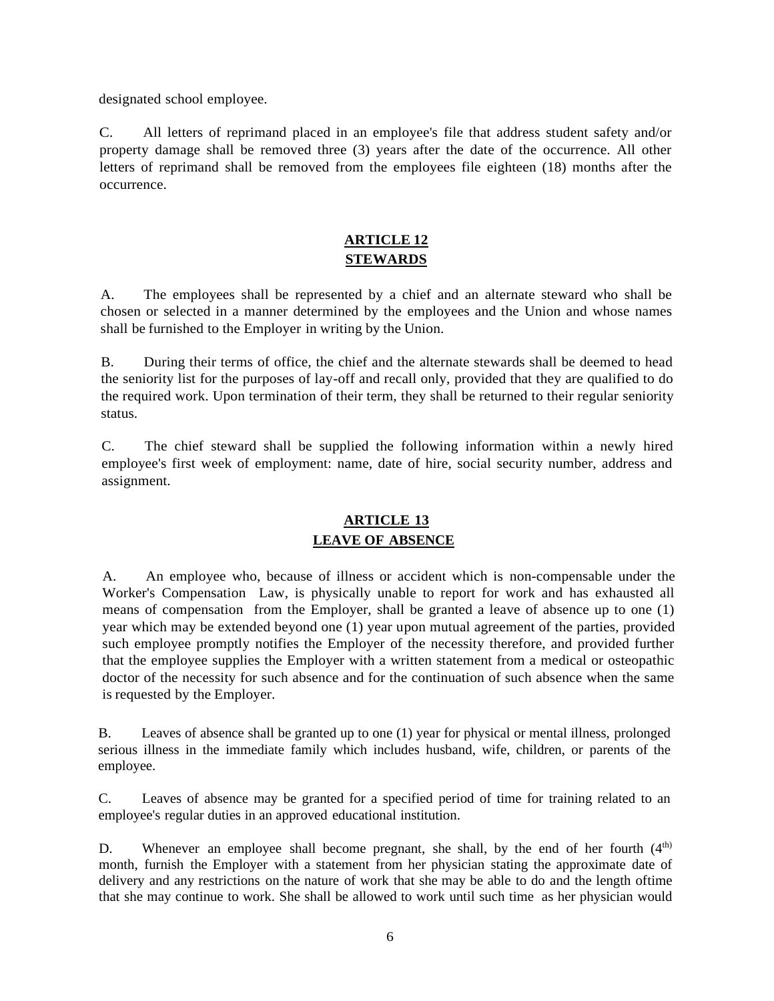designated school employee.

C. All letters of reprimand placed in an employee's file that address student safety and/or property damage shall be removed three (3) years after the date of the occurrence. All other letters of reprimand shall be removed from the employees file eighteen (18) months after the occurrence.

# **ARTICLE 12 STEWARDS**

A. The employees shall be represented by a chief and an alternate steward who shall be chosen or selected in a manner determined by the employees and the Union and whose names shall be furnished to the Employer in writing by the Union.

B. During their terms of office, the chief and the alternate stewards shall be deemed to head the seniority list for the purposes of lay-off and recall only, provided that they are qualified to do the required work. Upon termination of their term, they shall be returned to their regular seniority status.

C. The chief steward shall be supplied the following information within a newly hired employee's first week of employment: name, date of hire, social security number, address and assignment.

# **ARTICLE 13 LEAVE OF ABSENCE**

A. An employee who, because of illness or accident which is non-compensable under the Worker's Compensation Law, is physically unable to report for work and has exhausted all means of compensation from the Employer, shall be granted a leave of absence up to one (1) year which may be extended beyond one (1) year upon mutual agreement of the parties, provided such employee promptly notifies the Employer of the necessity therefore, and provided further that the employee supplies the Employer with a written statement from a medical or osteopathic doctor of the necessity for such absence and for the continuation of such absence when the same is requested by the Employer.

B. Leaves of absence shall be granted up to one (1) year for physical or mental illness, prolonged serious illness in the immediate family which includes husband, wife, children, or parents of the employee.

C. Leaves of absence may be granted for a specified period of time for training related to an employee's regular duties in an approved educational institution.

D. Whenever an employee shall become pregnant, she shall, by the end of her fourth  $(4<sup>th</sup>)$ month, furnish the Employer with a statement from her physician stating the approximate date of delivery and any restrictions on the nature of work that she may be able to do and the length oftime that she may continue to work. She shall be allowed to work until such time as her physician would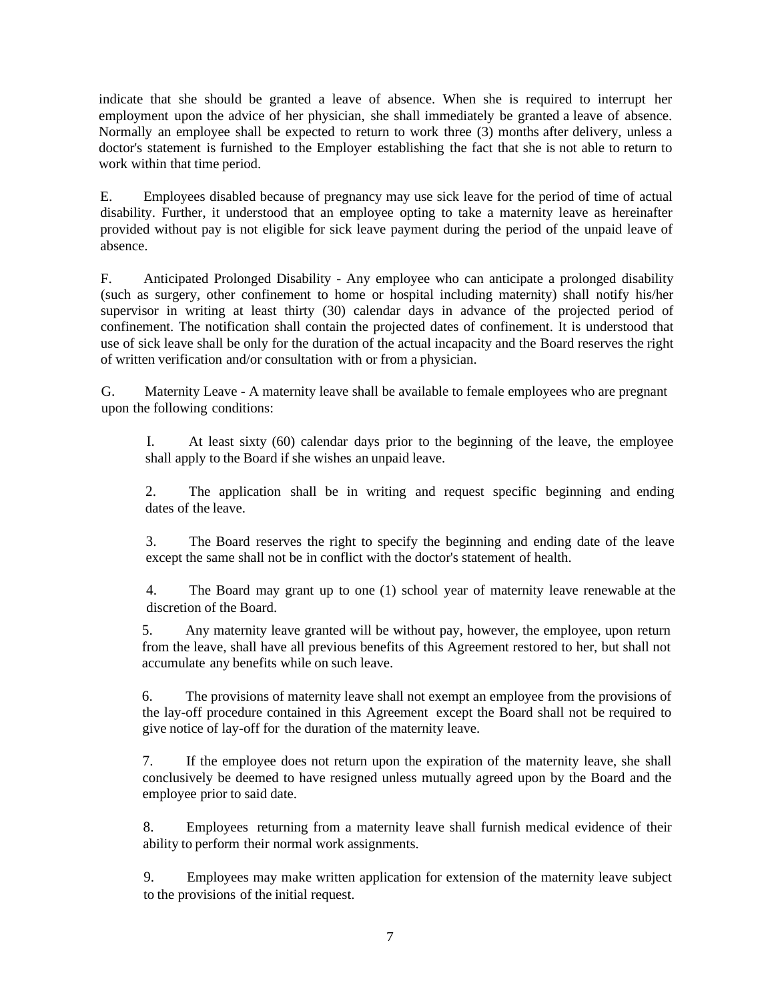indicate that she should be granted a leave of absence. When she is required to interrupt her employment upon the advice of her physician, she shall immediately be granted a leave of absence. Normally an employee shall be expected to return to work three (3) months after delivery, unless a doctor's statement is furnished to the Employer establishing the fact that she is not able to return to work within that time period.

E. Employees disabled because of pregnancy may use sick leave for the period of time of actual disability. Further, it understood that an employee opting to take a maternity leave as hereinafter provided without pay is not eligible for sick leave payment during the period of the unpaid leave of absence.

F. Anticipated Prolonged Disability - Any employee who can anticipate a prolonged disability (such as surgery, other confinement to home or hospital including maternity) shall notify his/her supervisor in writing at least thirty (30) calendar days in advance of the projected period of confinement. The notification shall contain the projected dates of confinement. It is understood that use of sick leave shall be only for the duration of the actual incapacity and the Board reserves the right of written verification and/or consultation with or from a physician.

G. Maternity Leave - A maternity leave shall be available to female employees who are pregnant upon the following conditions:

I. At least sixty (60) calendar days prior to the beginning of the leave, the employee shall apply to the Board if she wishes an unpaid leave.

2. The application shall be in writing and request specific beginning and ending dates of the leave.

3. The Board reserves the right to specify the beginning and ending date of the leave except the same shall not be in conflict with the doctor's statement of health.

4. The Board may grant up to one (1) school year of maternity leave renewable at the discretion of the Board.

5. Any maternity leave granted will be without pay, however, the employee, upon return from the leave, shall have all previous benefits of this Agreement restored to her, but shall not accumulate any benefits while on such leave.

6. The provisions of maternity leave shall not exempt an employee from the provisions of the lay-off procedure contained in this Agreement except the Board shall not be required to give notice of lay-off for the duration of the maternity leave.

7. If the employee does not return upon the expiration of the maternity leave, she shall conclusively be deemed to have resigned unless mutually agreed upon by the Board and the employee prior to said date.

8. Employees returning from a maternity leave shall furnish medical evidence of their ability to perform their normal work assignments.

9. Employees may make written application for extension of the maternity leave subject to the provisions of the initial request.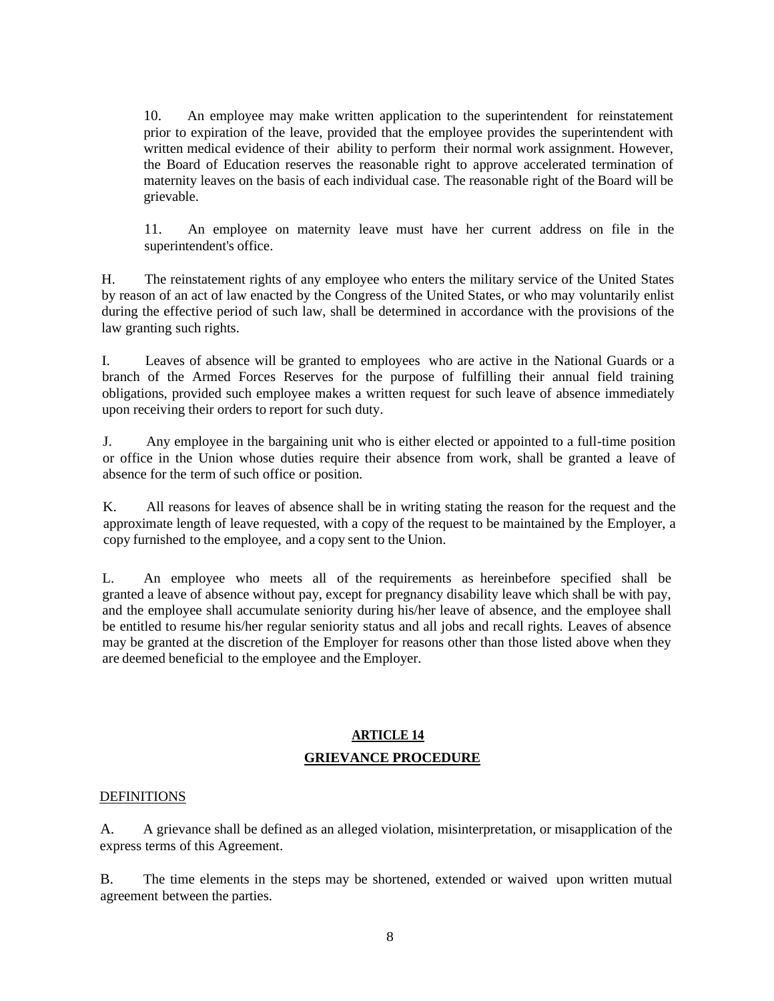10. An employee may make written application to the superintendent for reinstatement prior to expiration of the leave, provided that the employee provides the superintendent with written medical evidence of their ability to perform their normal work assignment. However, the Board of Education reserves the reasonable right to approve accelerated termination of maternity leaves on the basis of each individual case. The reasonable right of the Board will be grievable.

11. An employee on maternity leave must have her current address on file in the superintendent's office.

H. The reinstatement rights of any employee who enters the military service of the United States by reason of an act of law enacted by the Congress of the United States, or who may voluntarily enlist during the effective period of such law, shall be determined in accordance with the provisions of the law granting such rights.

I. Leaves of absence will be granted to employees who are active in the National Guards or a branch of the Armed Forces Reserves for the purpose of fulfilling their annual field training obligations, provided such employee makes a written request for such leave of absence immediately upon receiving their orders to report for such duty.

J. Any employee in the bargaining unit who is either elected or appointed to a full-time position or office in the Union whose duties require their absence from work, shall be granted a leave of absence for the term of such office or position.

K. All reasons for leaves of absence shall be in writing stating the reason for the request and the approximate length of leave requested, with a copy of the request to be maintained by the Employer, a copy furnished to the employee, and a copy sent to the Union.

L. An employee who meets all of the requirements as hereinbefore specified shall be granted a leave of absence without pay, except for pregnancy disability leave which shall be with pay, and the employee shall accumulate seniority during his/her leave of absence, and the employee shall be entitled to resume his/her regular seniority status and all jobs and recall rights. Leaves of absence may be granted at the discretion of the Employer for reasons other than those listed above when they are deemed beneficial to the employee and the Employer.

# **ARTICLE 14 GRIEVANCE PROCEDURE**

# **DEFINITIONS**

A. A grievance shall be defined as an alleged violation, misinterpretation, or misapplication of the express terms of this Agreement.

B. The time elements in the steps may be shortened, extended or waived upon written mutual agreement between the parties.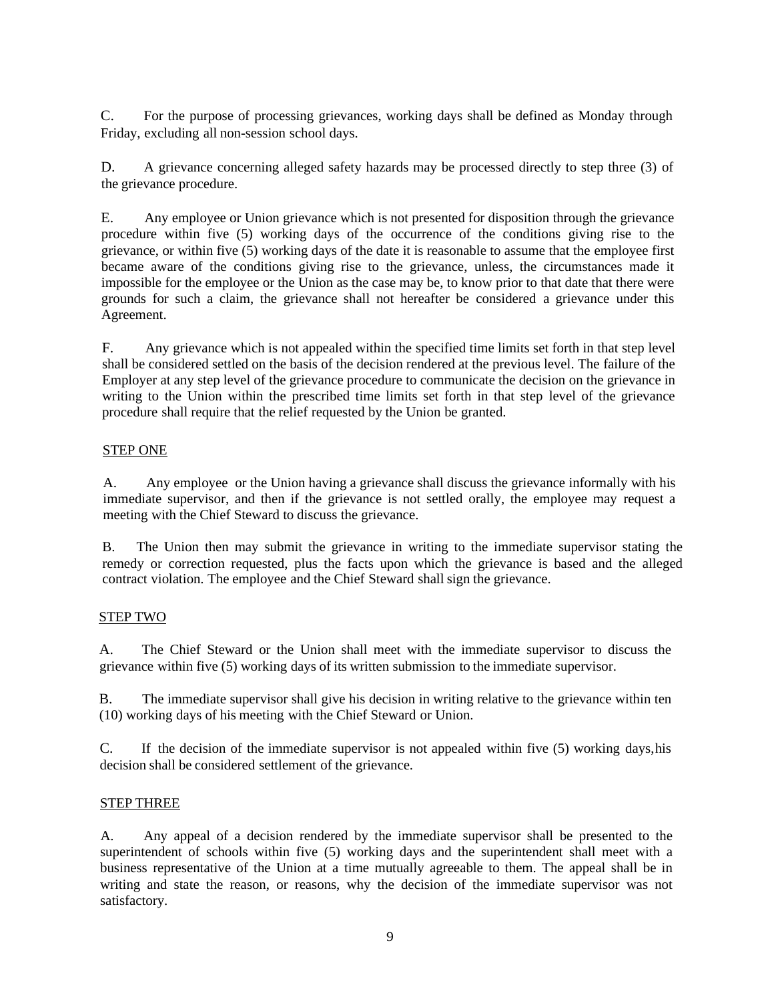C. For the purpose of processing grievances, working days shall be defined as Monday through Friday, excluding all non-session school days.

D. A grievance concerning alleged safety hazards may be processed directly to step three (3) of the grievance procedure.

E. Any employee or Union grievance which is not presented for disposition through the grievance procedure within five (5) working days of the occurrence of the conditions giving rise to the grievance, or within five (5) working days of the date it is reasonable to assume that the employee first became aware of the conditions giving rise to the grievance, unless, the circumstances made it impossible for the employee or the Union as the case may be, to know prior to that date that there were grounds for such a claim, the grievance shall not hereafter be considered a grievance under this Agreement.

F. Any grievance which is not appealed within the specified time limits set forth in that step level shall be considered settled on the basis of the decision rendered at the previous level. The failure of the Employer at any step level of the grievance procedure to communicate the decision on the grievance in writing to the Union within the prescribed time limits set forth in that step level of the grievance procedure shall require that the relief requested by the Union be granted.

# STEP ONE

A. Any employee or the Union having a grievance shall discuss the grievance informally with his immediate supervisor, and then if the grievance is not settled orally, the employee may request a meeting with the Chief Steward to discuss the grievance.

B. The Union then may submit the grievance in writing to the immediate supervisor stating the remedy or correction requested, plus the facts upon which the grievance is based and the alleged contract violation. The employee and the Chief Steward shall sign the grievance.

# STEP TWO

A. The Chief Steward or the Union shall meet with the immediate supervisor to discuss the grievance within five (5) working days of its written submission to the immediate supervisor.

B. The immediate supervisor shall give his decision in writing relative to the grievance within ten (10) working days of his meeting with the Chief Steward or Union.

C. If the decision of the immediate supervisor is not appealed within five (5) working days,his decision shall be considered settlement of the grievance.

# STEP THREE

A. Any appeal of a decision rendered by the immediate supervisor shall be presented to the superintendent of schools within five (5) working days and the superintendent shall meet with a business representative of the Union at a time mutually agreeable to them. The appeal shall be in writing and state the reason, or reasons, why the decision of the immediate supervisor was not satisfactory.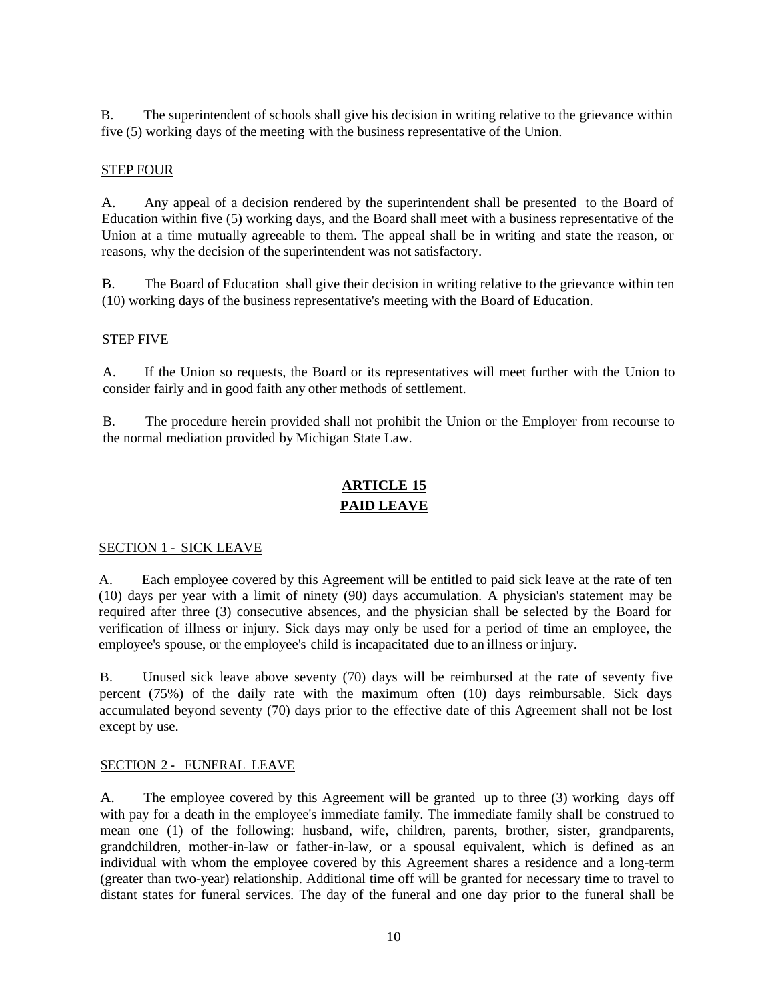B. The superintendent of schools shall give his decision in writing relative to the grievance within five (5) working days of the meeting with the business representative of the Union.

# STEP FOUR

A. Any appeal of a decision rendered by the superintendent shall be presented to the Board of Education within five (5) working days, and the Board shall meet with a business representative of the Union at a time mutually agreeable to them. The appeal shall be in writing and state the reason, or reasons, why the decision of the superintendent was not satisfactory.

B. The Board of Education shall give their decision in writing relative to the grievance within ten (10) working days of the business representative's meeting with the Board of Education.

# STEP FIVE

A. If the Union so requests, the Board or its representatives will meet further with the Union to consider fairly and in good faith any other methods of settlement.

B. The procedure herein provided shall not prohibit the Union or the Employer from recourse to the normal mediation provided by Michigan State Law.

# **ARTICLE 15 PAID LEAVE**

# SECTION 1 - SICK LEAVE

A. Each employee covered by this Agreement will be entitled to paid sick leave at the rate of ten (10) days per year with a limit of ninety (90) days accumulation. A physician's statement may be required after three (3) consecutive absences, and the physician shall be selected by the Board for verification of illness or injury. Sick days may only be used for a period of time an employee, the employee's spouse, or the employee's child is incapacitated due to an illness or injury.

B. Unused sick leave above seventy (70) days will be reimbursed at the rate of seventy five percent (75%) of the daily rate with the maximum often (10) days reimbursable. Sick days accumulated beyond seventy (70) days prior to the effective date of this Agreement shall not be lost except by use.

# SECTION 2 - FUNERAL LEAVE

A. The employee covered by this Agreement will be granted up to three (3) working days off with pay for a death in the employee's immediate family. The immediate family shall be construed to mean one (1) of the following: husband, wife, children, parents, brother, sister, grandparents, grandchildren, mother-in-law or father-in-law, or a spousal equivalent, which is defined as an individual with whom the employee covered by this Agreement shares a residence and a long-term (greater than two-year) relationship. Additional time off will be granted for necessary time to travel to distant states for funeral services. The day of the funeral and one day prior to the funeral shall be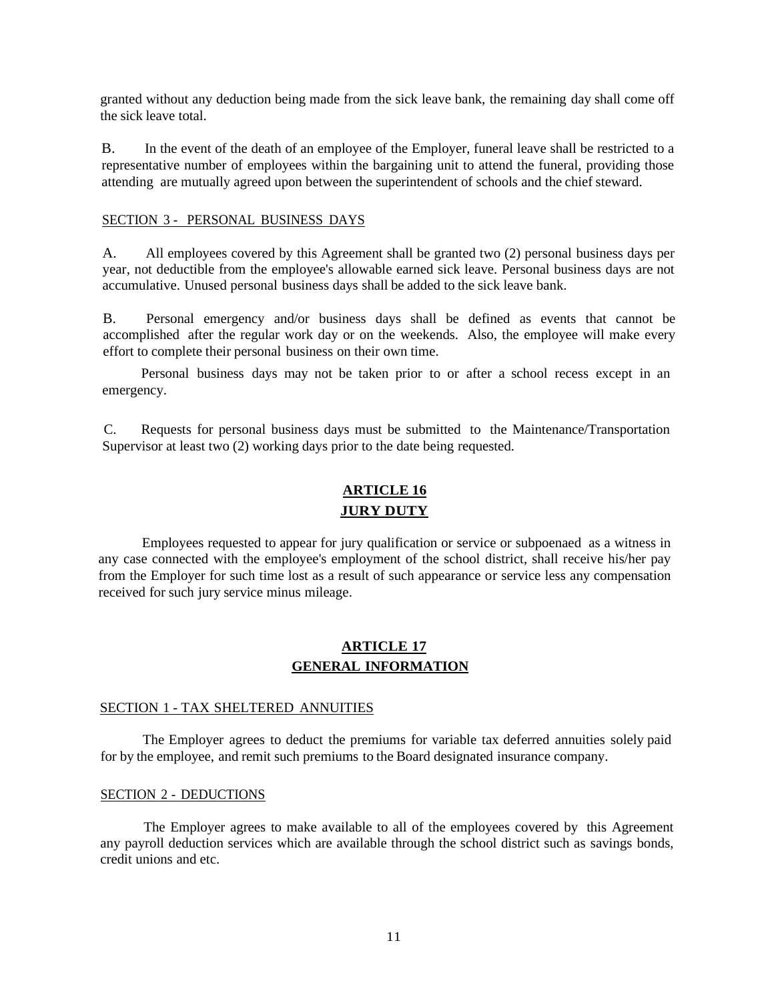granted without any deduction being made from the sick leave bank, the remaining day shall come off the sick leave total.

B. In the event of the death of an employee of the Employer, funeral leave shall be restricted to a representative number of employees within the bargaining unit to attend the funeral, providing those attending are mutually agreed upon between the superintendent of schools and the chief steward.

#### SECTION 3 - PERSONAL BUSINESS DAYS

A. All employees covered by this Agreement shall be granted two (2) personal business days per year, not deductible from the employee's allowable earned sick leave. Personal business days are not accumulative. Unused personal business days shall be added to the sick leave bank.

B. Personal emergency and/or business days shall be defined as events that cannot be accomplished after the regular work day or on the weekends. Also, the employee will make every effort to complete their personal business on their own time.

Personal business days may not be taken prior to or after a school recess except in an emergency.

C. Requests for personal business days must be submitted to the Maintenance/Transportation Supervisor at least two (2) working days prior to the date being requested.

# **ARTICLE 16 JURY DUTY**

Employees requested to appear for jury qualification or service or subpoenaed as a witness in any case connected with the employee's employment of the school district, shall receive his/her pay from the Employer for such time lost as a result of such appearance or service less any compensation received for such jury service minus mileage.

# **ARTICLE 17 GENERAL INFORMATION**

#### SECTION 1 - TAX SHELTERED ANNUITIES

The Employer agrees to deduct the premiums for variable tax deferred annuities solely paid for by the employee, and remit such premiums to the Board designated insurance company.

#### SECTION 2 - DEDUCTIONS

The Employer agrees to make available to all of the employees covered by this Agreement any payroll deduction services which are available through the school district such as savings bonds, credit unions and etc.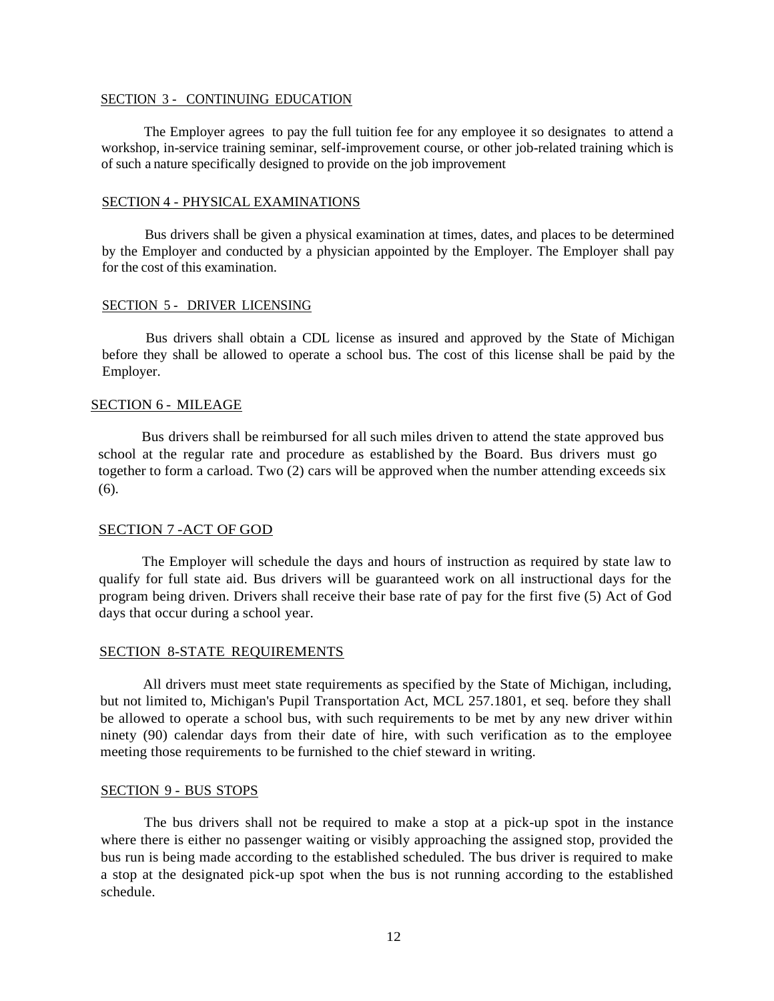#### SECTION 3 - CONTINUING EDUCATION

The Employer agrees to pay the full tuition fee for any employee it so designates to attend a workshop, in-service training seminar, self-improvement course, or other job-related training which is of such a nature specifically designed to provide on the job improvement

### SECTION 4 - PHYSICAL EXAMINATIONS

Bus drivers shall be given a physical examination at times, dates, and places to be determined by the Employer and conducted by a physician appointed by the Employer. The Employer shall pay for the cost of this examination.

#### SECTION 5 - DRIVER LICENSING

Bus drivers shall obtain a CDL license as insured and approved by the State of Michigan before they shall be allowed to operate a school bus. The cost of this license shall be paid by the Employer.

#### SECTION 6 - MILEAGE

Bus drivers shall be reimbursed for all such miles driven to attend the state approved bus school at the regular rate and procedure as established by the Board. Bus drivers must go together to form a carload. Two (2) cars will be approved when the number attending exceeds six (6).

#### SECTION 7 -ACT OF GOD

The Employer will schedule the days and hours of instruction as required by state law to qualify for full state aid. Bus drivers will be guaranteed work on all instructional days for the program being driven. Drivers shall receive their base rate of pay for the first five (5) Act of God days that occur during a school year.

#### SECTION 8-STATE REQUIREMENTS

All drivers must meet state requirements as specified by the State of Michigan, including, but not limited to, Michigan's Pupil Transportation Act, MCL 257.1801, et seq. before they shall be allowed to operate a school bus, with such requirements to be met by any new driver within ninety (90) calendar days from their date of hire, with such verification as to the employee meeting those requirements to be furnished to the chief steward in writing.

#### SECTION 9 - BUS STOPS

The bus drivers shall not be required to make a stop at a pick-up spot in the instance where there is either no passenger waiting or visibly approaching the assigned stop, provided the bus run is being made according to the established scheduled. The bus driver is required to make a stop at the designated pick-up spot when the bus is not running according to the established schedule.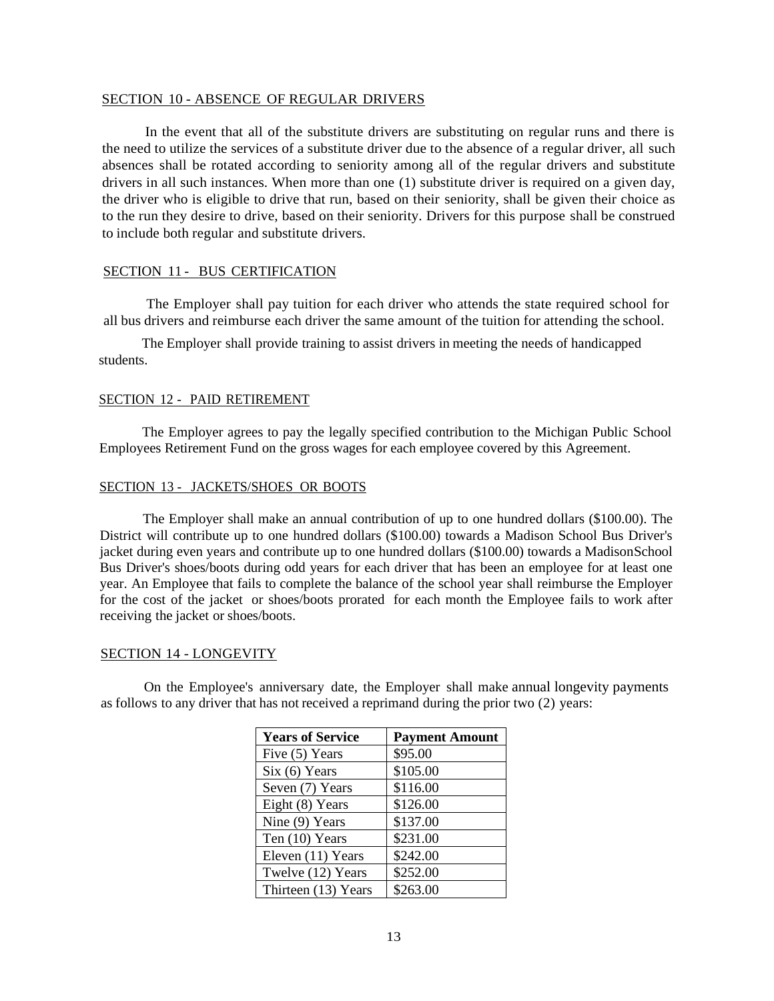#### SECTION 10 - ABSENCE OF REGULAR DRIVERS

In the event that all of the substitute drivers are substituting on regular runs and there is the need to utilize the services of a substitute driver due to the absence of a regular driver, all such absences shall be rotated according to seniority among all of the regular drivers and substitute drivers in all such instances. When more than one (1) substitute driver is required on a given day, the driver who is eligible to drive that run, based on their seniority, shall be given their choice as to the run they desire to drive, based on their seniority. Drivers for this purpose shall be construed to include both regular and substitute drivers.

## SECTION 11 - BUS CERTIFICATION

The Employer shall pay tuition for each driver who attends the state required school for all bus drivers and reimburse each driver the same amount of the tuition for attending the school.

The Employer shall provide training to assist drivers in meeting the needs of handicapped students.

#### SECTION 12 - PAID RETIREMENT

The Employer agrees to pay the legally specified contribution to the Michigan Public School Employees Retirement Fund on the gross wages for each employee covered by this Agreement.

#### SECTION 13 - JACKETS/SHOES OR BOOTS

The Employer shall make an annual contribution of up to one hundred dollars (\$100.00). The District will contribute up to one hundred dollars (\$100.00) towards a Madison School Bus Driver's jacket during even years and contribute up to one hundred dollars (\$100.00) towards a MadisonSchool Bus Driver's shoes/boots during odd years for each driver that has been an employee for at least one year. An Employee that fails to complete the balance of the school year shall reimburse the Employer for the cost of the jacket or shoes/boots prorated for each month the Employee fails to work after receiving the jacket or shoes/boots.

#### SECTION 14 - LONGEVITY

On the Employee's anniversary date, the Employer shall make annual longevity payments as follows to any driver that has not received a reprimand during the prior two (2) years:

| <b>Years of Service</b> | <b>Payment Amount</b> |
|-------------------------|-----------------------|
| Five (5) Years          | \$95.00               |
| Six (6) Years           | \$105.00              |
| Seven (7) Years         | \$116.00              |
| Eight (8) Years         | \$126.00              |
| Nine (9) Years          | \$137.00              |
| Ten (10) Years          | \$231.00              |
| Eleven (11) Years       | \$242.00              |
| Twelve (12) Years       | \$252.00              |
| Thirteen (13) Years     | \$263.00              |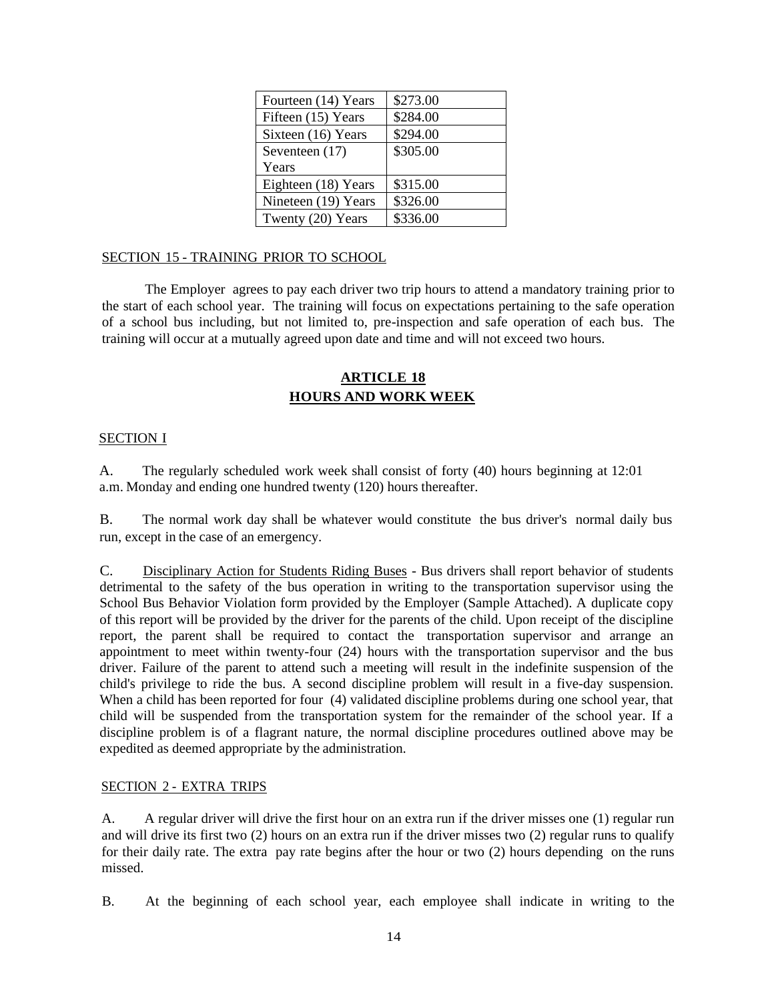| Fourteen (14) Years | \$273.00 |
|---------------------|----------|
| Fifteen (15) Years  | \$284.00 |
| Sixteen (16) Years  | \$294.00 |
| Seventeen (17)      | \$305.00 |
| Years               |          |
| Eighteen (18) Years | \$315.00 |
| Nineteen (19) Years | \$326.00 |
| Twenty (20) Years   | \$336.00 |

# SECTION 15 - TRAINING PRIOR TO SCHOOL

The Employer agrees to pay each driver two trip hours to attend a mandatory training prior to the start of each school year. The training will focus on expectations pertaining to the safe operation of a school bus including, but not limited to, pre-inspection and safe operation of each bus. The training will occur at a mutually agreed upon date and time and will not exceed two hours.

# **ARTICLE 18 HOURS AND WORK WEEK**

## SECTION I

A. The regularly scheduled work week shall consist of forty (40) hours beginning at 12:01 a.m. Monday and ending one hundred twenty (120) hours thereafter.

B. The normal work day shall be whatever would constitute the bus driver's normal daily bus run, except in the case of an emergency.

C. Disciplinary Action for Students Riding Buses - Bus drivers shall report behavior of students detrimental to the safety of the bus operation in writing to the transportation supervisor using the School Bus Behavior Violation form provided by the Employer (Sample Attached). A duplicate copy of this report will be provided by the driver for the parents of the child. Upon receipt of the discipline report, the parent shall be required to contact the transportation supervisor and arrange an appointment to meet within twenty-four (24) hours with the transportation supervisor and the bus driver. Failure of the parent to attend such a meeting will result in the indefinite suspension of the child's privilege to ride the bus. A second discipline problem will result in a five-day suspension. When a child has been reported for four (4) validated discipline problems during one school year, that child will be suspended from the transportation system for the remainder of the school year. If a discipline problem is of a flagrant nature, the normal discipline procedures outlined above may be expedited as deemed appropriate by the administration.

#### SECTION 2 - EXTRA TRIPS

A. A regular driver will drive the first hour on an extra run if the driver misses one (1) regular run and will drive its first two (2) hours on an extra run if the driver misses two (2) regular runs to qualify for their daily rate. The extra pay rate begins after the hour or two (2) hours depending on the runs missed.

B. At the beginning of each school year, each employee shall indicate in writing to the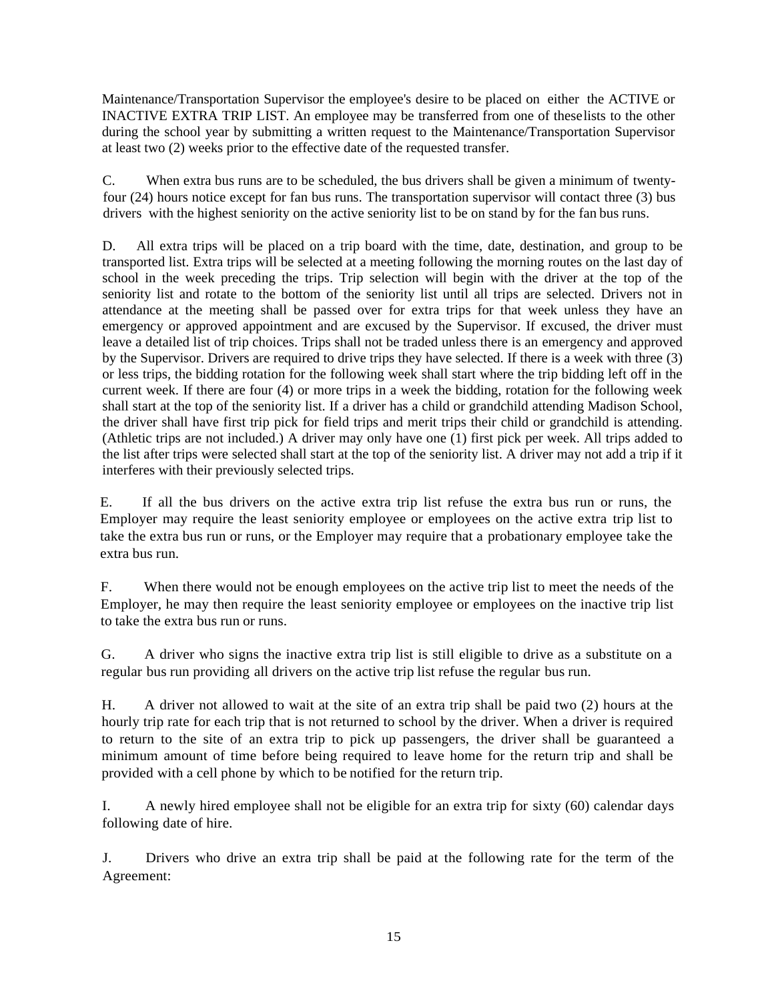Maintenance/Transportation Supervisor the employee's desire to be placed on either the ACTIVE or INACTIVE EXTRA TRIP LIST. An employee may be transferred from one of theselists to the other during the school year by submitting a written request to the Maintenance/Transportation Supervisor at least two (2) weeks prior to the effective date of the requested transfer.

C. When extra bus runs are to be scheduled, the bus drivers shall be given a minimum of twentyfour (24) hours notice except for fan bus runs. The transportation supervisor will contact three (3) bus drivers with the highest seniority on the active seniority list to be on stand by for the fan bus runs.

D. All extra trips will be placed on a trip board with the time, date, destination, and group to be transported list. Extra trips will be selected at a meeting following the morning routes on the last day of school in the week preceding the trips. Trip selection will begin with the driver at the top of the seniority list and rotate to the bottom of the seniority list until all trips are selected. Drivers not in attendance at the meeting shall be passed over for extra trips for that week unless they have an emergency or approved appointment and are excused by the Supervisor. If excused, the driver must leave a detailed list of trip choices. Trips shall not be traded unless there is an emergency and approved by the Supervisor. Drivers are required to drive trips they have selected. If there is a week with three (3) or less trips, the bidding rotation for the following week shall start where the trip bidding left off in the current week. If there are four (4) or more trips in a week the bidding, rotation for the following week shall start at the top of the seniority list. If a driver has a child or grandchild attending Madison School, the driver shall have first trip pick for field trips and merit trips their child or grandchild is attending. (Athletic trips are not included.) A driver may only have one (1) first pick per week. All trips added to the list after trips were selected shall start at the top of the seniority list. A driver may not add a trip if it interferes with their previously selected trips.

E. If all the bus drivers on the active extra trip list refuse the extra bus run or runs, the Employer may require the least seniority employee or employees on the active extra trip list to take the extra bus run or runs, or the Employer may require that a probationary employee take the extra bus run.

F. When there would not be enough employees on the active trip list to meet the needs of the Employer, he may then require the least seniority employee or employees on the inactive trip list to take the extra bus run or runs.

G. A driver who signs the inactive extra trip list is still eligible to drive as a substitute on a regular bus run providing all drivers on the active trip list refuse the regular bus run.

H. A driver not allowed to wait at the site of an extra trip shall be paid two (2) hours at the hourly trip rate for each trip that is not returned to school by the driver. When a driver is required to return to the site of an extra trip to pick up passengers, the driver shall be guaranteed a minimum amount of time before being required to leave home for the return trip and shall be provided with a cell phone by which to be notified for the return trip.

I. A newly hired employee shall not be eligible for an extra trip for sixty (60) calendar days following date of hire.

J. Drivers who drive an extra trip shall be paid at the following rate for the term of the Agreement: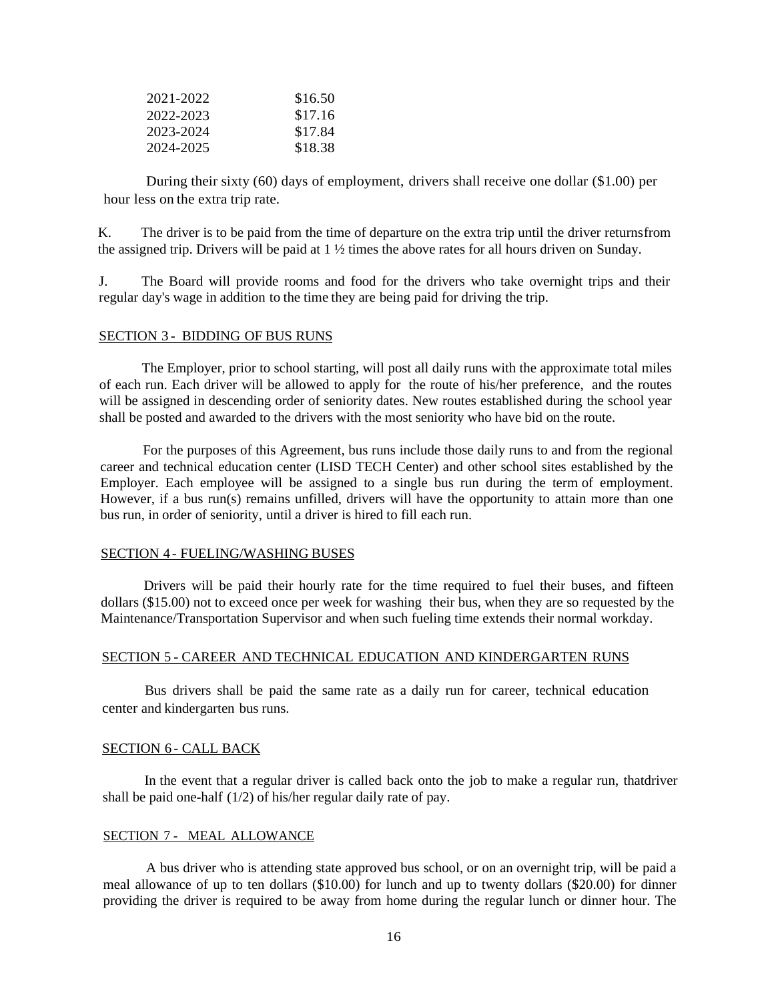| 2021-2022 | \$16.50 |
|-----------|---------|
| 2022-2023 | \$17.16 |
| 2023-2024 | \$17.84 |
| 2024-2025 | \$18.38 |

During their sixty (60) days of employment, drivers shall receive one dollar (\$1.00) per hour less on the extra trip rate.

K. The driver is to be paid from the time of departure on the extra trip until the driver returnsfrom the assigned trip. Drivers will be paid at  $1 \frac{1}{2}$  times the above rates for all hours driven on Sunday.

J. The Board will provide rooms and food for the drivers who take overnight trips and their regular day's wage in addition to the time they are being paid for driving the trip.

#### SECTION 3 - BIDDING OF BUS RUNS

The Employer, prior to school starting, will post all daily runs with the approximate total miles of each run. Each driver will be allowed to apply for the route of his/her preference, and the routes will be assigned in descending order of seniority dates. New routes established during the school year shall be posted and awarded to the drivers with the most seniority who have bid on the route.

For the purposes of this Agreement, bus runs include those daily runs to and from the regional career and technical education center (LISD TECH Center) and other school sites established by the Employer. Each employee will be assigned to a single bus run during the term of employment. However, if a bus run(s) remains unfilled, drivers will have the opportunity to attain more than one bus run, in order of seniority, until a driver is hired to fill each run.

#### SECTION 4 - FUELING/WASHING BUSES

Drivers will be paid their hourly rate for the time required to fuel their buses, and fifteen dollars (\$15.00) not to exceed once per week for washing their bus, when they are so requested by the Maintenance/Transportation Supervisor and when such fueling time extends their normal workday.

#### SECTION 5 - CAREER AND TECHNICAL EDUCATION AND KINDERGARTEN RUNS

Bus drivers shall be paid the same rate as a daily run for career, technical education center and kindergarten bus runs.

#### SECTION 6 - CALL BACK

In the event that a regular driver is called back onto the job to make a regular run, thatdriver shall be paid one-half (1/2) of his/her regular daily rate of pay.

#### SECTION 7 - MEAL ALLOWANCE

A bus driver who is attending state approved bus school, or on an overnight trip, will be paid a meal allowance of up to ten dollars (\$10.00) for lunch and up to twenty dollars (\$20.00) for dinner providing the driver is required to be away from home during the regular lunch or dinner hour. The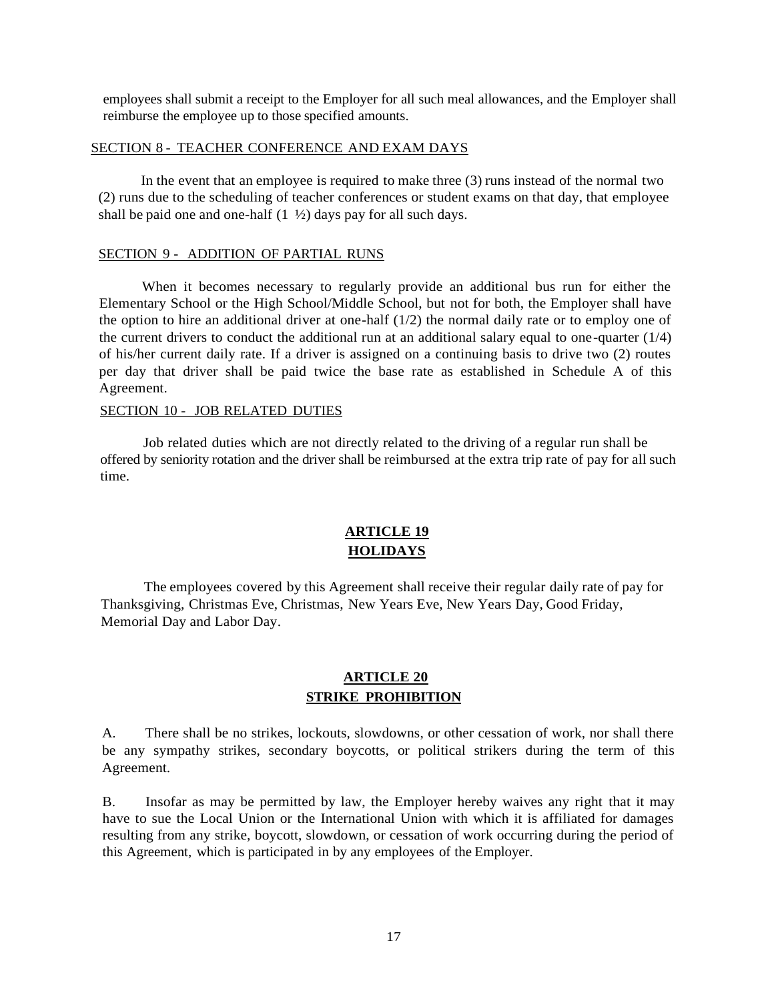employees shall submit a receipt to the Employer for all such meal allowances, and the Employer shall reimburse the employee up to those specified amounts.

### SECTION 8 - TEACHER CONFERENCE AND EXAM DAYS

In the event that an employee is required to make three (3) runs instead of the normal two (2) runs due to the scheduling of teacher conferences or student exams on that day, that employee shall be paid one and one-half  $(1 \frac{1}{2})$  days pay for all such days.

#### SECTION 9 - ADDITION OF PARTIAL RUNS

When it becomes necessary to regularly provide an additional bus run for either the Elementary School or the High School/Middle School, but not for both, the Employer shall have the option to hire an additional driver at one-half  $(1/2)$  the normal daily rate or to employ one of the current drivers to conduct the additional run at an additional salary equal to one-quarter  $(1/4)$ of his/her current daily rate. If a driver is assigned on a continuing basis to drive two (2) routes per day that driver shall be paid twice the base rate as established in Schedule A of this Agreement.

#### SECTION 10 - JOB RELATED DUTIES

Job related duties which are not directly related to the driving of a regular run shall be offered by seniority rotation and the driver shall be reimbursed at the extra trip rate of pay for all such time.

# **ARTICLE 19 HOLIDAYS**

The employees covered by this Agreement shall receive their regular daily rate of pay for Thanksgiving, Christmas Eve, Christmas, New Years Eve, New Years Day, Good Friday, Memorial Day and Labor Day.

# **ARTICLE 20 STRIKE PROHIBITION**

A. There shall be no strikes, lockouts, slowdowns, or other cessation of work, nor shall there be any sympathy strikes, secondary boycotts, or political strikers during the term of this Agreement.

B. Insofar as may be permitted by law, the Employer hereby waives any right that it may have to sue the Local Union or the International Union with which it is affiliated for damages resulting from any strike, boycott, slowdown, or cessation of work occurring during the period of this Agreement, which is participated in by any employees of the Employer.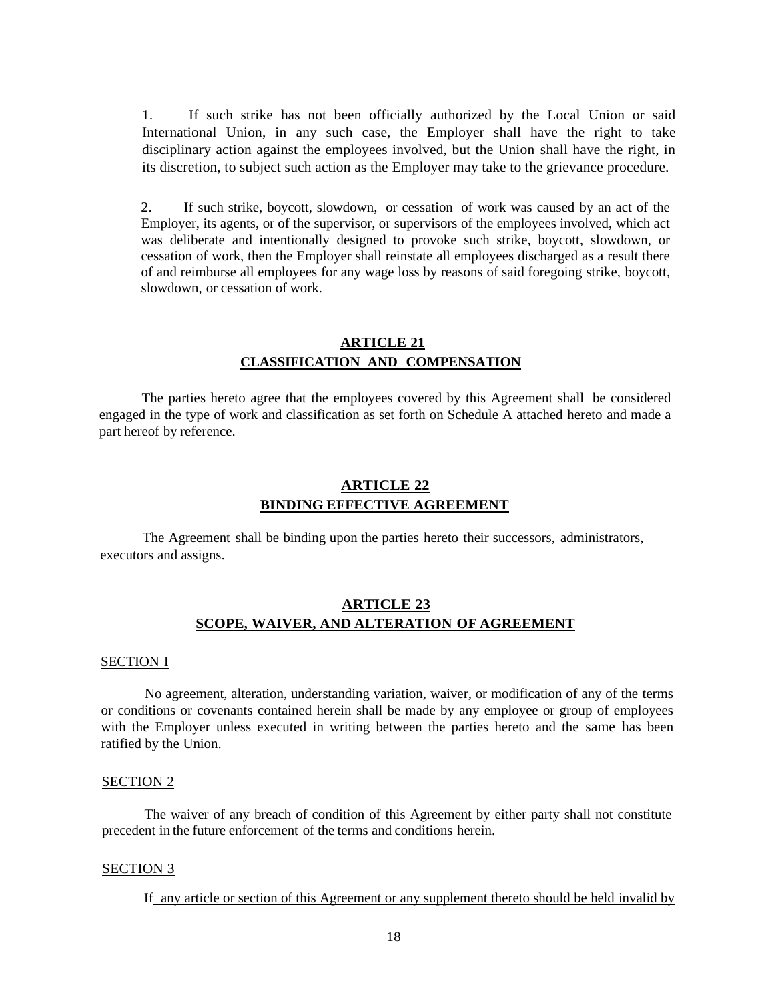1. If such strike has not been officially authorized by the Local Union or said International Union, in any such case, the Employer shall have the right to take disciplinary action against the employees involved, but the Union shall have the right, in its discretion, to subject such action as the Employer may take to the grievance procedure.

2. If such strike, boycott, slowdown, or cessation of work was caused by an act of the Employer, its agents, or of the supervisor, or supervisors of the employees involved, which act was deliberate and intentionally designed to provoke such strike, boycott, slowdown, or cessation of work, then the Employer shall reinstate all employees discharged as a result there of and reimburse all employees for any wage loss by reasons of said foregoing strike, boycott, slowdown, or cessation of work.

# **ARTICLE 21 CLASSIFICATION AND COMPENSATION**

The parties hereto agree that the employees covered by this Agreement shall be considered engaged in the type of work and classification as set forth on Schedule A attached hereto and made a part hereof by reference.

# **ARTICLE 22 BINDING EFFECTIVE AGREEMENT**

The Agreement shall be binding upon the parties hereto their successors, administrators, executors and assigns.

# **ARTICLE 23 SCOPE, WAIVER, AND ALTERATION OF AGREEMENT**

#### SECTION I

No agreement, alteration, understanding variation, waiver, or modification of any of the terms or conditions or covenants contained herein shall be made by any employee or group of employees with the Employer unless executed in writing between the parties hereto and the same has been ratified by the Union.

#### SECTION 2

The waiver of any breach of condition of this Agreement by either party shall not constitute precedent in the future enforcement of the terms and conditions herein.

#### SECTION 3

If any article or section of this Agreement or any supplement thereto should be held invalid by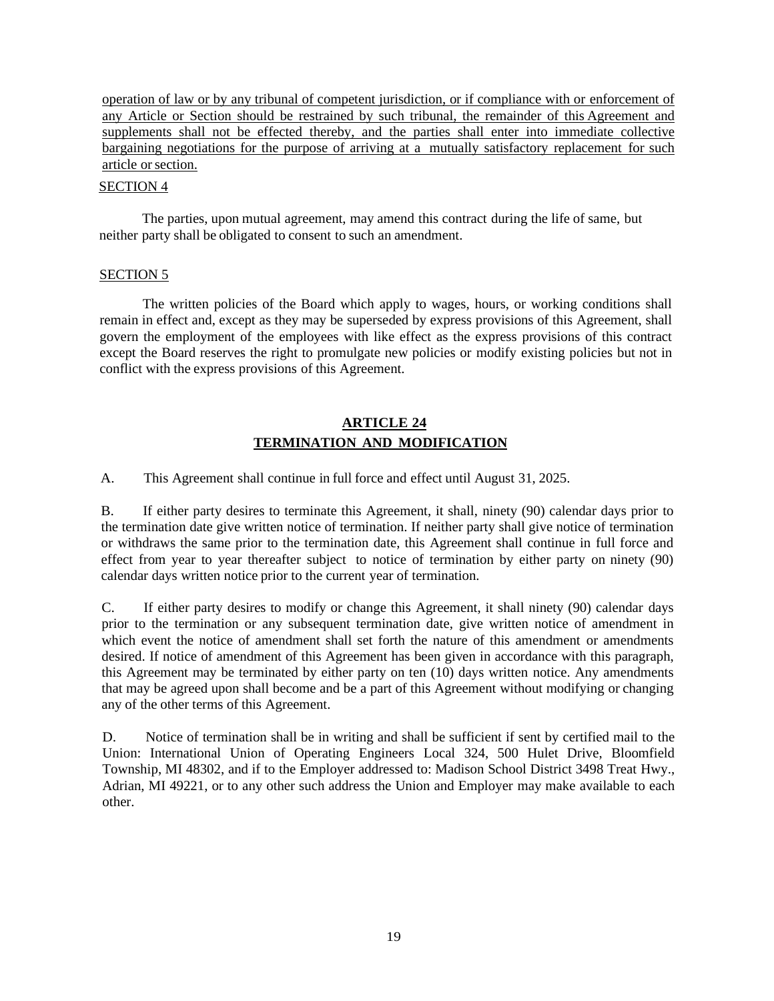operation of law or by any tribunal of competent jurisdiction, or if compliance with or enforcement of any Article or Section should be restrained by such tribunal, the remainder of this Agreement and supplements shall not be effected thereby, and the parties shall enter into immediate collective bargaining negotiations for the purpose of arriving at a mutually satisfactory replacement for such article orsection.

#### SECTION 4

The parties, upon mutual agreement, may amend this contract during the life of same, but neither party shall be obligated to consent to such an amendment.

# SECTION 5

The written policies of the Board which apply to wages, hours, or working conditions shall remain in effect and, except as they may be superseded by express provisions of this Agreement, shall govern the employment of the employees with like effect as the express provisions of this contract except the Board reserves the right to promulgate new policies or modify existing policies but not in conflict with the express provisions of this Agreement.

# **ARTICLE 24 TERMINATION AND MODIFICATION**

A. This Agreement shall continue in full force and effect until August 31, 2025.

B. If either party desires to terminate this Agreement, it shall, ninety (90) calendar days prior to the termination date give written notice of termination. If neither party shall give notice of termination or withdraws the same prior to the termination date, this Agreement shall continue in full force and effect from year to year thereafter subject to notice of termination by either party on ninety (90) calendar days written notice prior to the current year of termination.

C. If either party desires to modify or change this Agreement, it shall ninety (90) calendar days prior to the termination or any subsequent termination date, give written notice of amendment in which event the notice of amendment shall set forth the nature of this amendment or amendments desired. If notice of amendment of this Agreement has been given in accordance with this paragraph, this Agreement may be terminated by either party on ten (10) days written notice. Any amendments that may be agreed upon shall become and be a part of this Agreement without modifying or changing any of the other terms of this Agreement.

D. Notice of termination shall be in writing and shall be sufficient if sent by certified mail to the Union: International Union of Operating Engineers Local 324, 500 Hulet Drive, Bloomfield Township, MI 48302, and if to the Employer addressed to: Madison School District 3498 Treat Hwy., Adrian, MI 49221, or to any other such address the Union and Employer may make available to each other.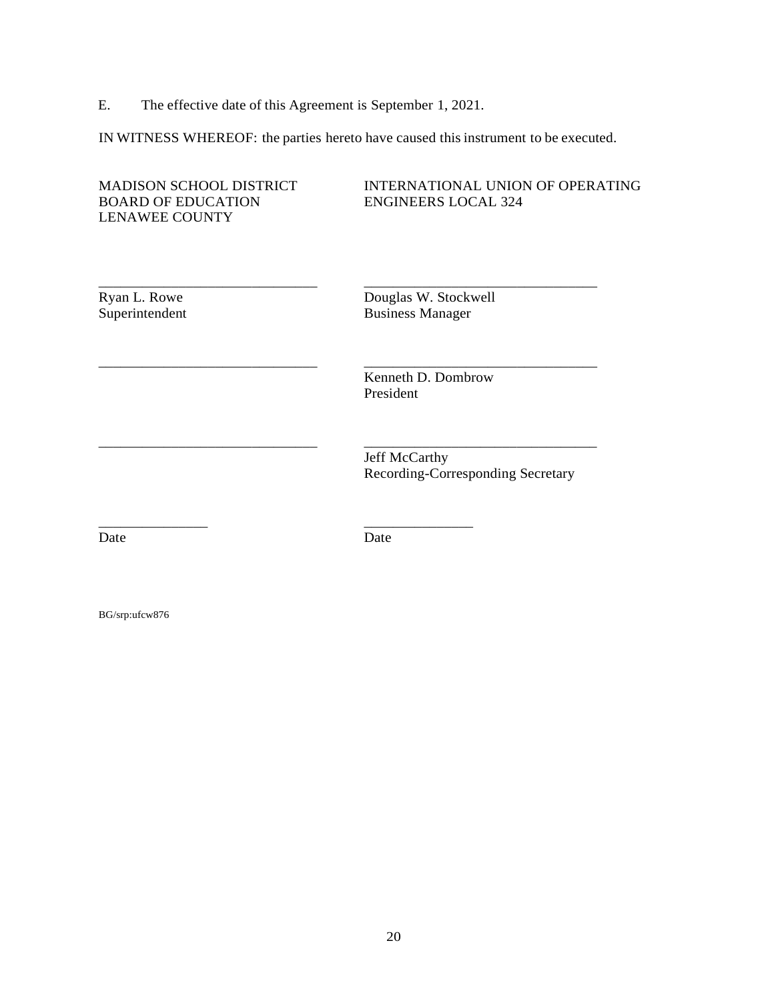E. The effective date of this Agreement is September 1, 2021.

IN WITNESS WHEREOF: the parties hereto have caused this instrument to be executed.

| <b>MADISON SCHOOL DISTRICT</b><br><b>BOARD OF EDUCATION</b><br><b>LENAWEE COUNTY</b> | <b>INTERNATIONAL UNION OF OPERATING</b><br><b>ENGINEERS LOCAL 324</b> |
|--------------------------------------------------------------------------------------|-----------------------------------------------------------------------|
| Ryan L. Rowe<br>Superintendent                                                       | Douglas W. Stockwell<br><b>Business Manager</b>                       |
|                                                                                      | Kenneth D. Dombrow<br>President                                       |
|                                                                                      | <b>Jeff McCarthy</b><br>Recording-Corresponding Secretary             |
| Date                                                                                 | Date                                                                  |

BG/srp:ufcw876